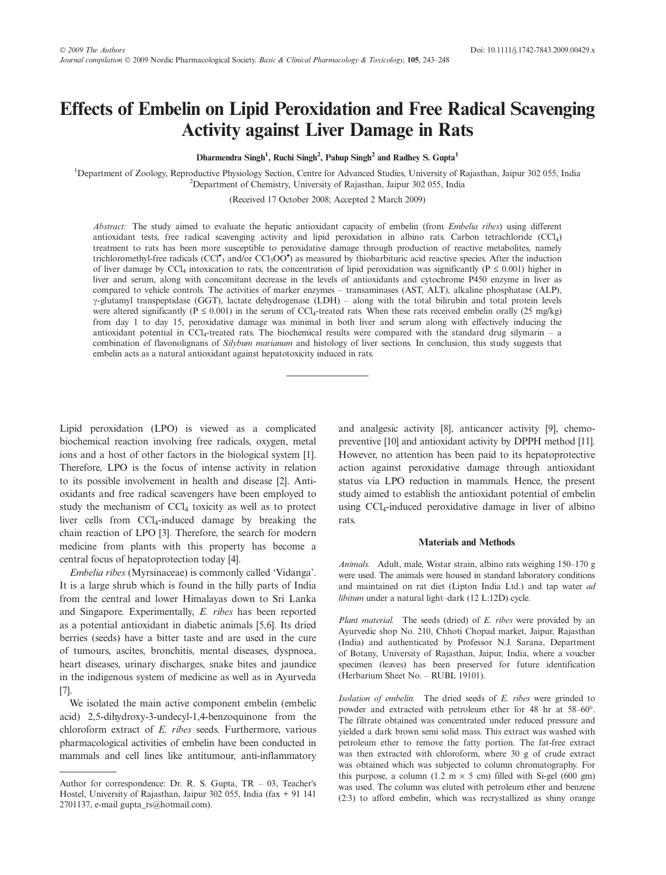# Effects of Embelin on Lipid Peroxidation and Free Radical Scavenging Activity against Liver Damage in Rats

Dharmendra Singh<sup>1</sup>, Ruchi Singh<sup>2</sup>, Pahup Singh<sup>2</sup> and Radhey S. Gupta<sup>1</sup>

<sup>1</sup>Department of Zoology, Reproductive Physiology Section, Centre for Advanced Studies, University of Rajasthan, Jaipur 302 055, India 2 Department of Chemistry, University of Rajasthan, Jaipur 302 055, India

(Received 17 October 2008; Accepted 2 March 2009)

Abstract: The study aimed to evaluate the hepatic antioxidant capacity of embelin (from *Embelia ribes*) using different antioxidant tests, free radical scavenging activity and lipid peroxidation in albino rats. Carbon tetrachloride (CCl4) treatment to rats has been more susceptible to peroxidative damage through production of reactive metabolites, namely trichloromethyl-free radicals (CCl<sup>\*</sup><sub>3</sub> and/or CCl<sub>3</sub>OO<sup>\*</sup>) as measured by thiobarbituric acid reactive species. After the induction of liver damage by CCl<sub>4</sub> intoxication to rats, the concentration of lipid peroxidation was significantly ( $P \le 0.001$ ) higher in liver and serum, along with concomitant decrease in the levels of antioxidants and cytochrome P450 enzyme in liver as compared to vehicle controls. The activities of marker enzymes – transaminases (AST, ALT), alkaline phosphatase (ALP),  $\gamma$ -glutamyl transpeptidase (GGT), lactate dehydrogenase (LDH) – along with the total bilirubin and total protein levels were altered significantly ( $P \le 0.001$ ) in the serum of CCl<sub>4</sub>-treated rats. When these rats received embelin orally (25 mg/kg) from day 1 to day 15, peroxidative damage was minimal in both liver and serum along with effectively inducing the antioxidant potential in CCl<sub>4</sub>-treated rats. The biochemical results were compared with the standard drug silymarin – a combination of flavonolignans of Silybum marianum and histology of liver sections. In conclusion, this study suggests that embelin acts as a natural antioxidant against hepatotoxicity induced in rats.

Lipid peroxidation (LPO) is viewed as a complicated biochemical reaction involving free radicals, oxygen, metal ions and a host of other factors in the biological system [1]. Therefore, LPO is the focus of intense activity in relation to its possible involvement in health and disease [2]. Antioxidants and free radical scavengers have been employed to study the mechanism of  $\text{CCl}_4$  toxicity as well as to protect liver cells from CCl<sub>4</sub>-induced damage by breaking the chain reaction of LPO [3]. Therefore, the search for modern medicine from plants with this property has become a central focus of hepatoprotection today [4].

Embelia ribes (Myrsinaceae) is commonly called 'Vidanga'. It is a large shrub which is found in the hilly parts of India from the central and lower Himalayas down to Sri Lanka and Singapore. Experimentally, E. ribes has been reported as a potential antioxidant in diabetic animals [5,6]. Its dried berries (seeds) have a bitter taste and are used in the cure of tumours, ascites, bronchitis, mental diseases, dyspnoea, heart diseases, urinary discharges, snake bites and jaundice in the indigenous system of medicine as well as in Ayurveda [7].

We isolated the main active component embelin (embelic acid) 2,5-dihydroxy-3-undecyl-1,4-benzoquinone from the chloroform extract of E. ribes seeds. Furthermore, various pharmacological activities of embelin have been conducted in mammals and cell lines like antitumour, anti-inflammatory

and analgesic activity [8], anticancer activity [9], chemopreventive [10] and antioxidant activity by DPPH method [11]. However, no attention has been paid to its hepatoprotective action against peroxidative damage through antioxidant status via LPO reduction in mammals. Hence, the present study aimed to establish the antioxidant potential of embelin using CCl4-induced peroxidative damage in liver of albino rats.

## Materials and Methods

Animals. Adult, male, Wistar strain, albino rats weighing 150–170 g were used. The animals were housed in standard laboratory conditions and maintained on rat diet (Lipton India Ltd.) and tap water ad libitum under a natural light–dark (12 L:12D) cycle.

Plant material. The seeds (dried) of E. ribes were provided by an Ayurvedic shop No. 210, Chhoti Chopad market, Jaipur, Rajasthan (India) and authenticated by Professor N.J. Sarana, Department of Botany, University of Rajasthan, Jaipur, India, where a voucher specimen (leaves) has been preserved for future identification (Herbarium Sheet No. – RUBL 19101).

Isolation of embelin. The dried seeds of E. ribes were grinded to powder and extracted with petroleum ether for 48 hr at 58–60°. The filtrate obtained was concentrated under reduced pressure and yielded a dark brown semi solid mass. This extract was washed with petroleum ether to remove the fatty portion. The fat-free extract was then extracted with chloroform, where 30 g of crude extract was obtained which was subjected to column chromatography. For this purpose, a column (1.2 m  $\times$  5 cm) filled with Si-gel (600 gm) was used. The column was eluted with petroleum ether and benzene (2:3) to afford embelin, which was recrystallized as shiny orange

Author for correspondence: Dr. R. S. Gupta, TR – 03, Teacher's Hostel, University of Rajasthan, Jaipur 302 055, India (fax + 91 141 2701137, e-mail gupta\_rs@hotmail.com).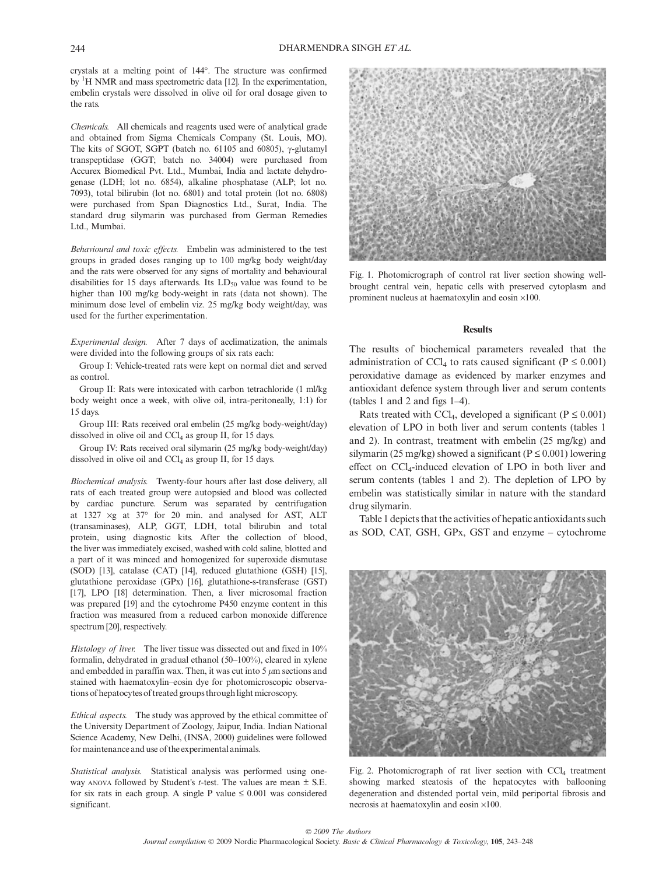crystals at a melting point of 144°. The structure was confirmed by <sup>1</sup>H NMR and mass spectrometric data [12]. In the experimentation, embelin crystals were dissolved in olive oil for oral dosage given to the rats.

Chemicals. All chemicals and reagents used were of analytical grade and obtained from Sigma Chemicals Company (St. Louis, MO). The kits of SGOT, SGPT (batch no. 61105 and 60805),  $\gamma$ -glutamyl transpeptidase (GGT; batch no. 34004) were purchased from Accurex Biomedical Pvt. Ltd., Mumbai, India and lactate dehydrogenase (LDH; lot no. 6854), alkaline phosphatase (ALP; lot no. 7093), total bilirubin (lot no. 6801) and total protein (lot no. 6808) were purchased from Span Diagnostics Ltd., Surat, India. The standard drug silymarin was purchased from German Remedies Ltd., Mumbai.

Behavioural and toxic effects. Embelin was administered to the test groups in graded doses ranging up to 100 mg/kg body weight/day and the rats were observed for any signs of mortality and behavioural disabilities for 15 days afterwards. Its  $LD_{50}$  value was found to be higher than 100 mg/kg body-weight in rats (data not shown). The minimum dose level of embelin viz. 25 mg/kg body weight/day, was used for the further experimentation.

Experimental design. After 7 days of acclimatization, the animals were divided into the following groups of six rats each:

Group I: Vehicle-treated rats were kept on normal diet and served as control.

Group II: Rats were intoxicated with carbon tetrachloride (1 ml/kg body weight once a week, with olive oil, intra-peritoneally, 1:1) for 15 days.

Group III: Rats received oral embelin (25 mg/kg body-weight/day) dissolved in olive oil and  $CCl<sub>4</sub>$  as group II, for 15 days.

Group IV: Rats received oral silymarin (25 mg/kg body-weight/day) dissolved in olive oil and CCl<sub>4</sub> as group II, for 15 days.

Biochemical analysis. Twenty-four hours after last dose delivery, all rats of each treated group were autopsied and blood was collected by cardiac puncture. Serum was separated by centrifugation at  $1327 \times g$  at  $37^{\circ}$  for 20 min. and analysed for AST, ALT (transaminases), ALP, GGT, LDH, total bilirubin and total protein, using diagnostic kits. After the collection of blood, the liver was immediately excised, washed with cold saline, blotted and a part of it was minced and homogenized for superoxide dismutase (SOD) [13], catalase (CAT) [14], reduced glutathione (GSH) [15], glutathione peroxidase (GPx) [16], glutathione-s-transferase (GST) [17], LPO [18] determination. Then, a liver microsomal fraction was prepared [19] and the cytochrome P450 enzyme content in this fraction was measured from a reduced carbon monoxide difference spectrum [20], respectively.

Histology of liver. The liver tissue was dissected out and fixed in 10% formalin, dehydrated in gradual ethanol (50–100%), cleared in xylene and embedded in paraffin wax. Then, it was cut into  $5 \mu m$  sections and stained with haematoxylin–eosin dye for photomicroscopic observations of hepatocytes of treated groups through light microscopy.

Ethical aspects. The study was approved by the ethical committee of the University Department of Zoology, Jaipur, India. Indian National Science Academy, New Delhi, (INSA, 2000) guidelines were followed for maintenance and use of the experimental animals.

Statistical analysis. Statistical analysis was performed using oneway ANOVA followed by Student's t-test. The values are mean  $\pm$  S.E. for six rats in each group. A single P value  $\leq 0.001$  was considered significant.



Fig. 1. Photomicrograph of control rat liver section showing wellbrought central vein, hepatic cells with preserved cytoplasm and prominent nucleus at haematoxylin and eosin  $\times 100$ .

### **Results**

The results of biochemical parameters revealed that the administration of CCl<sub>4</sub> to rats caused significant ( $P \le 0.001$ ) peroxidative damage as evidenced by marker enzymes and antioxidant defence system through liver and serum contents (tables 1 and 2 and figs 1–4).

Rats treated with CCl<sub>4</sub>, developed a significant ( $P \le 0.001$ ) elevation of LPO in both liver and serum contents (tables 1 and 2). In contrast, treatment with embelin (25 mg/kg) and silymarin (25 mg/kg) showed a significant ( $P \le 0.001$ ) lowering effect on CCl4-induced elevation of LPO in both liver and serum contents (tables 1 and 2). The depletion of LPO by embelin was statistically similar in nature with the standard drug silymarin.

Table 1 depicts that the activities of hepatic antioxidants such as SOD, CAT, GSH, GPx, GST and enzyme – cytochrome



Fig. 2. Photomicrograph of rat liver section with  $CCl<sub>4</sub>$  treatment showing marked steatosis of the hepatocytes with ballooning degeneration and distended portal vein, mild periportal fibrosis and necrosis at haematoxylin and eosin  $\times$ 100.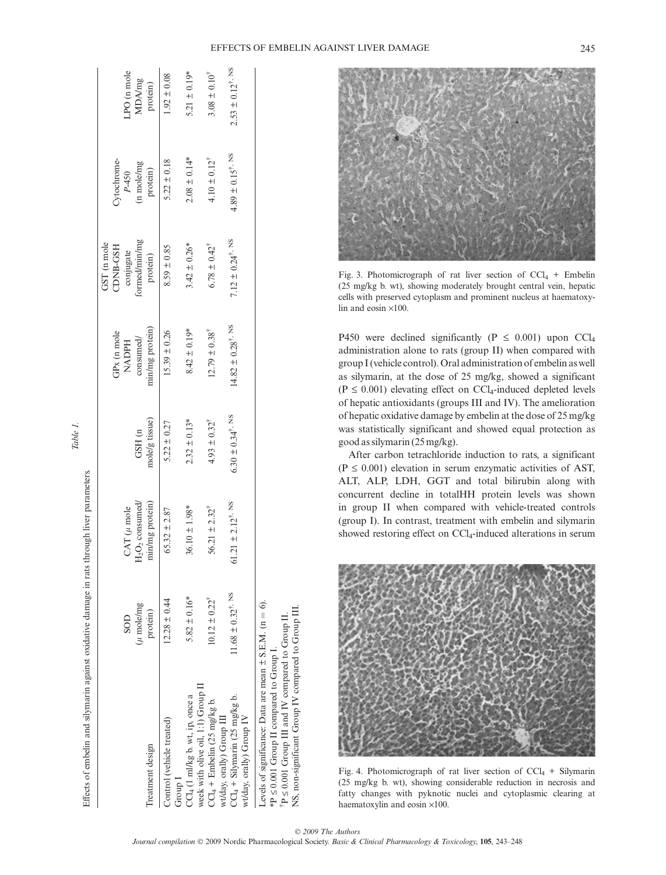

Fig. 3. Photomicrograph of rat liver section of  $CCl_4$  + Embelin (25 mg/kg b. wt), showing moderately brought central vein, hepatic cells with preserved cytoplasm and prominent nucleus at haematoxylin and eosin  $\times100$ .

P450 were declined significantly (P  $\leq$  0.001) upon CCl<sub>4</sub> administration alone to rats (group II) when compared with group I (vehicle control). Oral administration of embelin as well as silymarin, at the dose of 25 mg/kg, showed a significant  $(P \le 0.001)$  elevating effect on CCl<sub>4</sub>-induced depleted levels of hepatic antioxidants (groups III and IV). The amelioration of hepatic oxidative damage by embelin at the dose of 25 mg/kg was statistically significant and showed equal protection as good as silymarin (25 mg/kg).

After carbon tetrachloride induction to rats, a significant  $(P \le 0.001)$  elevation in serum enzymatic activities of AST, ALT, ALP, LDH, GGT and total bilirubin along with concurrent decline in totalHH protein levels was shown in group II when compared with vehicle-treated controls (group I). In contrast, treatment with embelin and silymarin showed restoring effect on CCl4-induced alterations in serum



Fig. 4. Photomicrograph of rat liver section of  $CCl_4$  + Silymarin (25 mg/kg b. wt), showing considerable reduction in necrosis and fatty changes with pyknotic nuclei and cytoplasmic clearing at haematoxylin and eosin  $\times$ 100.

 $2.53 \pm 0.12^{\dagger}$ , NS 11.68 ± 0.32°, NS 61.21 ± 2.12†, NS 6.30 ± 0.34°, NS 6.30 ± 0.34°, NS 6.30 ± 0.34°, NS 4.82 ± 0.34°, NS 2.53 ± 0.34°, NS 2.53 ± 0.12°, NS 4.82 ± 0.34°, NS 2.53 ± 0.12°, NS 4.82 ± 0.34°, NS 4.82 ± 0.34°, NS 4.82 ± 0.34°, N PO (n mole LPO (n mole  $1.92 \pm 0.08$  $5.21 \pm 0.19$ <sup>\*</sup> 5.82  $\pm$  0.16\* 3.61  $\pm$  1.98\* 3.42  $\pm$  0.13\* 3.42  $\pm$  0.13\* 3.42  $\pm$  0.26\* 2.08  $\pm$  0.14\* 5.21  $\pm$  0.19\*  $3.08 \pm 0.10^{4}$  $10.12 \pm 0.22^{\dagger}$  56.21  $\pm 2.32^{\dagger}$  4.93  $\pm 0.32^{\dagger}$  12.79  $\pm 0.38^{\dagger}$  5.78  $\pm 0.42^{\dagger}$  4.10  $\pm 0.12^{\dagger}$  3.08  $\pm 0.10^{\dagger}$ 12.28 ± 0.44 65.32 ± 2.87 5.22 ± 0.27 5.39 ± 0.26 8.59 ± 0.85 5.22 ± 0.18 1.92 ± 0.08 MDA/mg protein)  $4.89 \pm 0.15^{\dagger}$ , NS  $4.10 \pm 0.12^{\dagger}$  $5.22 \pm 0.18$  $2.08 \pm 0.14*$ Cytochrome-Cytochromein mole/mg (n mole/mg P-450 protein)  $7.12 \pm 0.24^{\dagger}$ , NS ormed/min/mg formed/min/mg GST (n mole GST (n mole  $6.78 \pm 0.42^{\dagger}$ CDNB-GSH CDNB-GSH  $8.59 \pm 0.85$  $3.42 \pm 0.26$ <sup>\*</sup> conjugate protein)  $14.82 \pm 0.28^{\dagger}$ . NS min/mg protein) NADPH min/mg protein)  $8.42 \pm 0.19*$  $15.39 \pm 0.26$  $12.79 \pm 0.38^{\dagger}$ GPx (n mole consumed/ consumed/  $6.30 \pm 0.34^{\dagger}$ , NS mole/g tissue) mole/g tissue)  $2.32 \pm 0.13*$  $5.22 \pm 0.27$  $4.93 \pm 0.32^{\dagger}$ GSH (n  $2^{\Omega_2}$  consumed/ 61.21  $\pm$  2.12<sup> $\dagger$ , NS</sup> min/mg protein) min/mg protein)  $CAT$  ( $\mu$  mole  $36.10 \pm 1.98$ <sup>\*</sup>  $56.21 \pm 2.32^{\dagger}$  $CAT (\mu$  mole  $65.32 \pm 2.87$ Q<br>H 11.68  $\pm$  0.32<sup>†</sup>, NS  $5.82 \pm 0.16*$  $12.28 \pm 0.44$  $10.12 \pm 0.22^{\dagger}$  $\frac{1}{6}$  $\mu$  mole/mg  $(\mu$  mole/mg protein) SOD  $\rm \dot{P} \leq 0.001$  Group III and IV compared to Group II. Levels of significance: Data are mean € S.E.M. (n  $*P \leq 0.001$  Group II compared to Group I.  $*P \leq 0.001$  Group II compared to Group I. week with olive oil, 1:1) Group II week with olive oil, 1:1) Group II Group I<br>CCl<sub>4</sub> (1 ml/kg b. wt, ip, once a  $CCl<sub>4</sub> + Silymarin$  (25 mg/kg b. CCl4 (1 ml/kg b. wt, ip, once a CCl4 + Silymarin (25 mg/kg b. CCl<sub>4</sub> + Embelin (25 mg/kg b. CCl4 + Embelin (25 mg/kg b. wt/day, orally) Group III wt/day, orally) Group III wt/day, orally) Group IV wt/day, orally) Group IV Control (vehicle treated) Control (vehicle treated) Treatment design Treatment design

Effects of embelin and silymarin against oxidative damage in rats through liver parameters. Effects of embelin and silymarin against oxidative damage in rats through liver parameters.

NS, non-significant Group IV compared to Group III.

NS, non-significant Group IV compared to Group III

£ 0.001 Group III and IV compared to Group II.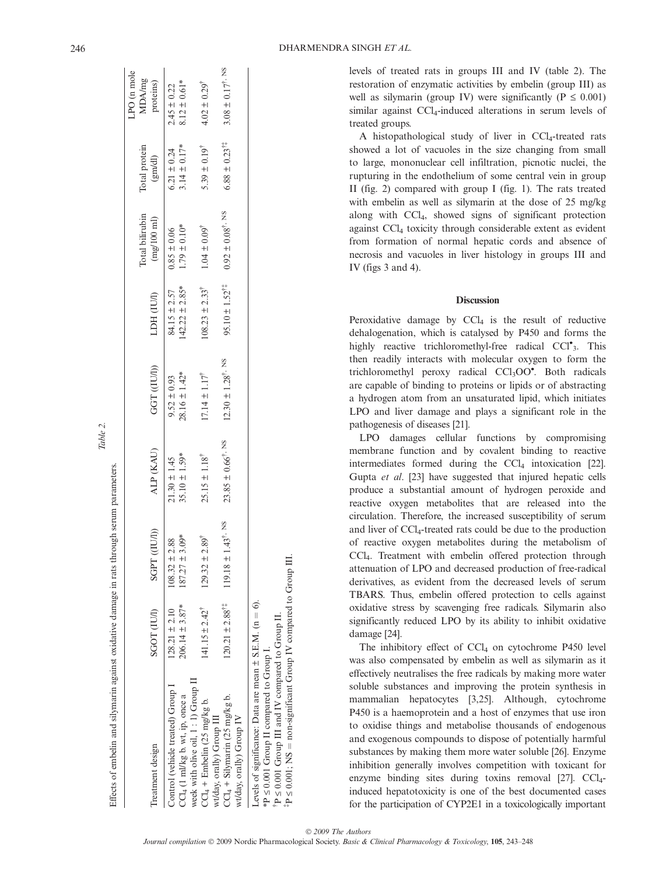| Treatment design                                                                 | SGOT (IUI)                              | SGPT ((IU/I))                                           | ALP (KAU)                             | GGT (IUI))                           | LDH (IUI)                             | Total bilirubin<br>$\left(\mathrm{mg}/100\mathrm{~m}\right)$ | Total protein<br>(gm/dl)            | LPO (n mole<br>MDA/mg<br>proteins)  |
|----------------------------------------------------------------------------------|-----------------------------------------|---------------------------------------------------------|---------------------------------------|--------------------------------------|---------------------------------------|--------------------------------------------------------------|-------------------------------------|-------------------------------------|
| Control (vehicle treated) Group I<br>CCl <sub>4</sub> (1 ml/kg b. wt, ip, once a | $206.14 \pm 3.87*$<br>$128.21 \pm 2.10$ | $187.27 \pm 3.09*$<br>$108.32 \pm 2.88$                 | $35.10 \pm 1.59*$<br>$21.30 \pm 1.45$ | $28.16 \pm 1.42*$<br>$9.52 \pm 0.93$ | $42.22 \pm 2.85*$<br>84.15 $\pm$ 2.57 | $1.79 \pm 0.10*$<br>$0.85 \pm 0.06$                          | $3.14 \pm 0.17*$<br>$6.21 \pm 0.24$ | $8.12 \pm 0.61*$<br>$2.45 \pm 0.22$ |
| week with olive oil, 1:1) Group II<br>$CCl_4$ + Embelin (25 mg/kg b.             | $141.15 \pm 2.42^{\dagger}$             | $129.32 \pm 2.89$ <sup>T</sup>                          | $25.15 \pm 1.18^{\dagger}$            | $17.14 \pm 1.17^{\dagger}$           | $108.23 \pm 2.33^{\dagger}$           | $1.04 \pm 0.09^{\dagger}$                                    | $5.39 \pm 0.19^{\dagger}$           | $4.02 \pm 0.29$ <sup>T</sup>        |
| $CCl_4 +$ Silymarin (25 mg/kg b.<br>vt/day, orally) Group III                    |                                         | $120.21 \pm 2.88^{17}$ $119.18 \pm 1.43^{\dagger}$ . NS | $23.85 \pm 0.66^{\dagger}$ , NS       | $12.30 \pm 1.28^{\dagger}$ , NS      | $95.10 \pm 1.52$ <sup>††</sup>        | $0.92 \pm 0.08^{\dagger}$ , NS                               | $6.88 \pm 0.23$ <sup>††</sup>       | $3.08 \pm 0.17^{\dagger}$ . NS      |
| wt/day, orally) Group IV                                                         |                                         |                                                         |                                       |                                      |                                       |                                                              |                                     |                                     |
| Levels of significance: Data are mean $\pm$ S.E.M. (n = 6).                      |                                         |                                                         |                                       |                                      |                                       |                                                              |                                     |                                     |

Table 2.

Effects of embelin and silymarin against oxidative damage in rats through serum parameters.

Effects of embelin and silymarin against oxidative damage in rats through serum parameters

levels of treated rats in groups III and IV (table 2). The restoration of enzymatic activities by embelin (group III) as well as silymarin (group IV) were significantly ( $P \le 0.001$ ) similar against  $\text{CCl}_4$ -induced alterations in serum levels of treated groups.

A histopathological study of liver in CCl<sub>4</sub>-treated rats showed a lot of vacuoles in the size changing from small to large, mononuclear cell infiltration, picnotic nuclei, the rupturing in the endothelium of some central vein in group II (fig. 2) compared with group I (fig. 1). The rats treated with embelin as well as silymarin at the dose of 25 mg/kg along with CCl4, showed signs of significant protection against CCl4 toxicity through considerable extent as evident from formation of normal hepatic cords and absence of necrosis and vacuoles in liver histology in groups III and IV (figs 3 and 4).

#### **Discussion**

Peroxidative damage by  $CCl<sub>4</sub>$  is the result of reductive dehalogenation, which is catalysed by P450 and forms the highly reactive trichloromethyl-free radical CCl<sup>•</sup><sub>3</sub>. This then readily interacts with molecular oxygen to form the trichloromethyl peroxy radical CCl<sub>3</sub>OO<sup>\*</sup>. Both radicals are capable of binding to proteins or lipids or of abstracting a hydrogen atom from an unsaturated lipid, which initiates LPO and liver damage and plays a significant role in the pathogenesis of diseases [21].

LPO damages cellular functions by compromising membrane function and by covalent binding to reactive intermediates formed during the  $\text{CCl}_4$  intoxication [22]. Gupta et al. [23] have suggested that injured hepatic cells produce a substantial amount of hydrogen peroxide and reactive oxygen metabolites that are released into the circulation. Therefore, the increased susceptibility of serum and liver of CCl4-treated rats could be due to the production of reactive oxygen metabolites during the metabolism of CCl4. Treatment with embelin offered protection through attenuation of LPO and decreased production of free-radical derivatives, as evident from the decreased levels of serum TBARS. Thus, embelin offered protection to cells against oxidative stress by scavenging free radicals. Silymarin also significantly reduced LPO by its ability to inhibit oxidative damage [24].

The inhibitory effect of  $CCl<sub>4</sub>$  on cytochrome P450 level was also compensated by embelin as well as silymarin as it effectively neutralises the free radicals by making more water soluble substances and improving the protein synthesis in mammalian hepatocytes [3,25]. Although, cytochrome P450 is a haemoprotein and a host of enzymes that use iron to oxidise things and metabolise thousands of endogenous and exogenous compounds to dispose of potentially harmful substances by making them more water soluble [26]. Enzyme inhibition generally involves competition with toxicant for enzyme binding sites during toxins removal  $[27]$ . CCl<sub>4</sub>induced hepatotoxicity is one of the best documented cases for the participation of CYP2E1 in a toxicologically important

‡ P P

 $*P \leq 0.001$  Group II compared to Group I. £ 0.001 Group III and IV compared to Group II.

 $P \le 0.001$ ; NS

 $=$  non-significant Group IV compared to Group III non-significant Group IV compared to Group III.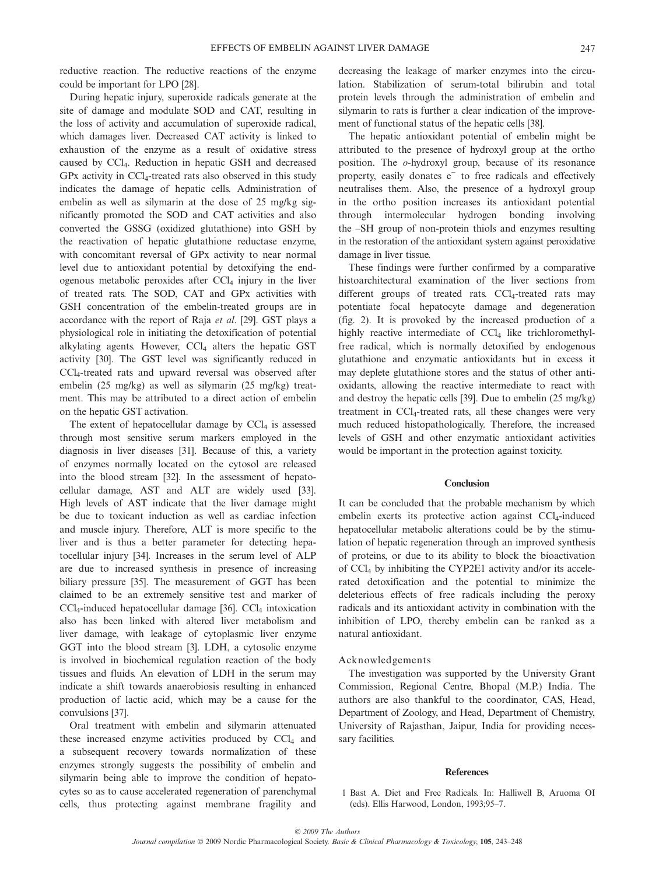reductive reaction. The reductive reactions of the enzyme could be important for LPO [28].

During hepatic injury, superoxide radicals generate at the site of damage and modulate SOD and CAT, resulting in the loss of activity and accumulation of superoxide radical, which damages liver. Decreased CAT activity is linked to exhaustion of the enzyme as a result of oxidative stress caused by CCl4. Reduction in hepatic GSH and decreased  $GPx$  activity in  $CCl_4$ -treated rats also observed in this study indicates the damage of hepatic cells. Administration of embelin as well as silymarin at the dose of 25 mg/kg significantly promoted the SOD and CAT activities and also converted the GSSG (oxidized glutathione) into GSH by the reactivation of hepatic glutathione reductase enzyme, with concomitant reversal of GPx activity to near normal level due to antioxidant potential by detoxifying the endogenous metabolic peroxides after  $CCl<sub>4</sub>$  injury in the liver of treated rats. The SOD, CAT and GPx activities with GSH concentration of the embelin-treated groups are in accordance with the report of Raja et al. [29]. GST plays a physiological role in initiating the detoxification of potential alkylating agents. However,  $CCl<sub>4</sub>$  alters the hepatic GST activity [30]. The GST level was significantly reduced in CCl4-treated rats and upward reversal was observed after embelin (25 mg/kg) as well as silymarin (25 mg/kg) treatment. This may be attributed to a direct action of embelin on the hepatic GST activation.

The extent of hepatocellular damage by  $CCl<sub>4</sub>$  is assessed through most sensitive serum markers employed in the diagnosis in liver diseases [31]. Because of this, a variety of enzymes normally located on the cytosol are released into the blood stream [32]. In the assessment of hepatocellular damage, AST and ALT are widely used [33]. High levels of AST indicate that the liver damage might be due to toxicant induction as well as cardiac infection and muscle injury. Therefore, ALT is more specific to the liver and is thus a better parameter for detecting hepatocellular injury [34]. Increases in the serum level of ALP are due to increased synthesis in presence of increasing biliary pressure [35]. The measurement of GGT has been claimed to be an extremely sensitive test and marker of  $CCl<sub>4</sub>$ -induced hepatocellular damage [36].  $CCl<sub>4</sub>$  intoxication also has been linked with altered liver metabolism and liver damage, with leakage of cytoplasmic liver enzyme GGT into the blood stream [3]. LDH, a cytosolic enzyme is involved in biochemical regulation reaction of the body tissues and fluids. An elevation of LDH in the serum may indicate a shift towards anaerobiosis resulting in enhanced production of lactic acid, which may be a cause for the convulsions [37].

Oral treatment with embelin and silymarin attenuated these increased enzyme activities produced by  $CCl<sub>4</sub>$  and a subsequent recovery towards normalization of these enzymes strongly suggests the possibility of embelin and silymarin being able to improve the condition of hepatocytes so as to cause accelerated regeneration of parenchymal cells, thus protecting against membrane fragility and decreasing the leakage of marker enzymes into the circulation. Stabilization of serum-total bilirubin and total protein levels through the administration of embelin and silymarin to rats is further a clear indication of the improvement of functional status of the hepatic cells [38].

The hepatic antioxidant potential of embelin might be attributed to the presence of hydroxyl group at the ortho position. The o-hydroxyl group, because of its resonance property, easily donates e<sup>†</sup> to free radicals and effectively neutralises them. Also, the presence of a hydroxyl group in the ortho position increases its antioxidant potential through intermolecular hydrogen bonding involving the –SH group of non-protein thiols and enzymes resulting in the restoration of the antioxidant system against peroxidative damage in liver tissue.

These findings were further confirmed by a comparative histoarchitectural examination of the liver sections from different groups of treated rats. CCl<sub>4</sub>-treated rats may potentiate focal hepatocyte damage and degeneration (fig. 2). It is provoked by the increased production of a highly reactive intermediate of CCl<sub>4</sub> like trichloromethylfree radical, which is normally detoxified by endogenous glutathione and enzymatic antioxidants but in excess it may deplete glutathione stores and the status of other antioxidants, allowing the reactive intermediate to react with and destroy the hepatic cells [39]. Due to embelin (25 mg/kg) treatment in CCl<sub>4</sub>-treated rats, all these changes were very much reduced histopathologically. Therefore, the increased levels of GSH and other enzymatic antioxidant activities would be important in the protection against toxicity.

## **Conclusion**

It can be concluded that the probable mechanism by which embelin exerts its protective action against CCl<sub>4</sub>-induced hepatocellular metabolic alterations could be by the stimulation of hepatic regeneration through an improved synthesis of proteins, or due to its ability to block the bioactivation of  $\text{CCl}_4$  by inhibiting the CYP2E1 activity and/or its accelerated detoxification and the potential to minimize the deleterious effects of free radicals including the peroxy radicals and its antioxidant activity in combination with the inhibition of LPO, thereby embelin can be ranked as a natural antioxidant.

## Acknowledgements

The investigation was supported by the University Grant Commission, Regional Centre, Bhopal (M.P.) India. The authors are also thankful to the coordinator, CAS, Head, Department of Zoology, and Head, Department of Chemistry, University of Rajasthan, Jaipur, India for providing necessary facilities.

#### **References**

1 Bast A. Diet and Free Radicals. In: Halliwell B, Aruoma OI (eds). Ellis Harwood, London, 1993;95–7.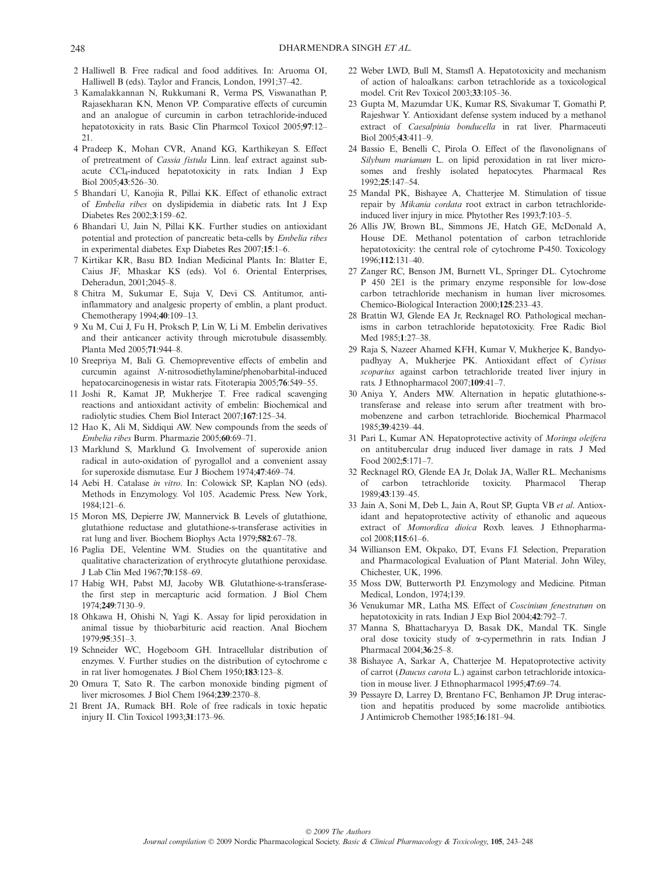- 2 Halliwell B. Free radical and food additives. In: Aruoma OI, Halliwell B (eds). Taylor and Francis, London, 1991;37–42.
- 3 Kamalakkannan N, Rukkumani R, Verma PS, Viswanathan P, Rajasekharan KN, Menon VP. Comparative effects of curcumin and an analogue of curcumin in carbon tetrachloride-induced hepatotoxicity in rats. Basic Clin Pharmcol Toxicol 2005;97:12– 21.
- 4 Pradeep K, Mohan CVR, Anand KG, Karthikeyan S. Effect of pretreatment of Cassia fistula Linn. leaf extract against subacute  $\text{CCl}_4$ -induced hepatotoxicity in rats. Indian J Exp Biol 2005;43:526–30.
- 5 Bhandari U, Kanojia R, Pillai KK. Effect of ethanolic extract of Embelia ribes on dyslipidemia in diabetic rats. Int J Exp Diabetes Res 2002;3:159–62.
- 6 Bhandari U, Jain N, Pillai KK. Further studies on antioxidant potential and protection of pancreatic beta-cells by Embelia ribes in experimental diabetes. Exp Diabetes Res 2007;15:1–6.
- 7 Kirtikar KR, Basu BD. Indian Medicinal Plants. In: Blatter E, Caius JF, Mhaskar KS (eds). Vol 6. Oriental Enterprises, Deheradun, 2001;2045–8.
- 8 Chitra M, Sukumar E, Suja V, Devi CS. Antitumor, antiinflammatory and analgesic property of emblin, a plant product. Chemotherapy 1994;40:109–13.
- 9 Xu M, Cui J, Fu H, Proksch P, Lin W, Li M. Embelin derivatives and their anticancer activity through microtubule disassembly. Planta Med 2005;71:944–8.
- 10 Sreepriya M, Bali G. Chemopreventive effects of embelin and curcumin against N-nitrosodiethylamine/phenobarbital-induced hepatocarcinogenesis in wistar rats. Fitoterapia 2005:76:549–55.
- 11 Joshi R, Kamat JP, Mukherjee T. Free radical scavenging reactions and antioxidant activity of embelin: Biochemical and radiolytic studies. Chem Biol Interact 2007;167:125–34.
- 12 Hao K, Ali M, Siddiqui AW. New compounds from the seeds of Embelia ribes Burm. Pharmazie 2005;60:69–71.
- 13 Marklund S, Marklund G. Involvement of superoxide anion radical in auto-oxidation of pyrogallol and a convenient assay for superoxide dismutase. Eur J Biochem 1974;47:469–74.
- 14 Aebi H. Catalase in vitro. In: Colowick SP, Kaplan NO (eds). Methods in Enzymology. Vol 105. Academic Press. New York,  $1984 \cdot 121 - 6$
- 15 Moron MS, Depierre JW, Mannervick B. Levels of glutathione, glutathione reductase and glutathione-s-transferase activities in rat lung and liver. Biochem Biophys Acta 1979;582:67–78.
- 16 Paglia DE, Velentine WM. Studies on the quantitative and qualitative characterization of erythrocyte glutathione peroxidase. J Lab Clin Med 1967;70:158–69.
- 17 Habig WH, Pabst MJ, Jacoby WB. Glutathione-s-transferasethe first step in mercapturic acid formation. J Biol Chem 1974;249:7130–9.
- 18 Ohkawa H, Ohishi N, Yagi K. Assay for lipid peroxidation in animal tissue by thiobarbituric acid reaction. Anal Biochem 1979;95:351–3.
- 19 Schneider WC, Hogeboom GH. Intracellular distribution of enzymes. V. Further studies on the distribution of cytochrome c in rat liver homogenates. J Biol Chem 1950;183:123–8.
- 20 Omura T, Sato R. The carbon monoxide binding pigment of liver microsomes. J Biol Chem 1964;239:2370–8.
- 21 Brent JA, Rumack BH. Role of free radicals in toxic hepatic injury II. Clin Toxicol 1993;31:173–96.
- 22 Weber LWD, Bull M, Stamsfl A. Hepatotoxicity and mechanism of action of haloalkans: carbon tetrachloride as a toxicological model. Crit Rev Toxicol 2003;33:105–36.
- 23 Gupta M, Mazumdar UK, Kumar RS, Sivakumar T, Gomathi P, Rajeshwar Y. Antioxidant defense system induced by a methanol extract of Caesalpinia bonducella in rat liver. Pharmaceuti Biol 2005;43:411–9.
- 24 Bassio E, Benelli C, Pirola O. Effect of the flavonolignans of Silybum marianum L. on lipid peroxidation in rat liver microsomes and freshly isolated hepatocytes. Pharmacal Res 1992;25:147–54.
- 25 Mandal PK, Bishayee A, Chatterjee M. Stimulation of tissue repair by *Mikania cordata* root extract in carbon tetrachlorideinduced liver injury in mice. Phytother Res 1993;7:103–5.
- 26 Allis JW, Brown BL, Simmons JE, Hatch GE, McDonald A, House DE. Methanol potentation of carbon tetrachloride hepatotoxicity: the central role of cytochrome P-450. Toxicology 1996;112:131–40.
- 27 Zanger RC, Benson JM, Burnett VL, Springer DL. Cytochrome P 450 2E1 is the primary enzyme responsible for low-dose carbon tetrachloride mechanism in human liver microsomes. Chemico-Biological Interaction 2000;125:233–43.
- 28 Brattin WJ, Glende EA Jr, Recknagel RO. Pathological mechanisms in carbon tetrachloride hepatotoxicity. Free Radic Biol Med 1985;1:27–38.
- 29 Raja S, Nazeer Ahamed KFH, Kumar V, Mukherjee K, Bandyopadhyay A, Mukherjee PK. Antioxidant effect of Cytisus scoparius against carbon tetrachloride treated liver injury in rats. J Ethnopharmacol 2007;109:41–7.
- 30 Aniya Y, Anders MW. Alternation in hepatic glutathione-stransferase and release into serum after treatment with bromobenzene and carbon tetrachloride. Biochemical Pharmacol 1985;39:4239–44.
- 31 Pari L, Kumar AN. Hepatoprotective activity of Moringa oleifera on antitubercular drug induced liver damage in rats. J Med Food 2002;5:171–7.
- 32 Recknagel RO, Glende EA Jr, Dolak JA, Waller RL. Mechanisms of carbon tetrachloride toxicity. Pharmacol Therap 1989;43:139–45.
- 33 Jain A, Soni M, Deb L, Jain A, Rout SP, Gupta VB et al. Antioxidant and hepatoprotective activity of ethanolic and aqueous extract of Momordica dioica Roxb. leaves. J Ethnopharmacol 2008;115:61–6.
- 34 Willianson EM, Okpako, DT, Evans FJ. Selection, Preparation and Pharmacological Evaluation of Plant Material. John Wiley, Chichester, UK, 1996.
- 35 Moss DW, Butterworth PJ. Enzymology and Medicine. Pitman Medical, London, 1974;139.
- 36 Venukumar MR, Latha MS. Effect of Coscinium fenestratum on hepatotoxicity in rats. Indian J Exp Biol 2004;42:792–7.
- 37 Manna S, Bhattacharyya D, Basak DK, Mandal TK. Single oral dose toxicity study of a-cypermethrin in rats. Indian J Pharmacal 2004;36:25–8.
- 38 Bishayee A, Sarkar A, Chatterjee M. Hepatoprotective activity of carrot (Daucus carota L.) against carbon tetrachloride intoxication in mouse liver. J Ethnopharmacol 1995;47:69–74.
- 39 Pessayre D, Larrey D, Brentano FC, Benhamon JP. Drug interaction and hepatitis produced by some macrolide antibiotics. J Antimicrob Chemother 1985;16:181–94.